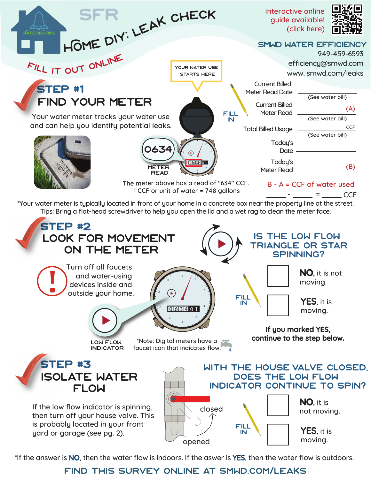

\*If the answer is NO, then the water flow is indoors. If the aswer is YES, then the water flow is outdoors.

## find this survey online at [smwd.com/leaks](https://www.smwd.com/168/Leak-Detection)